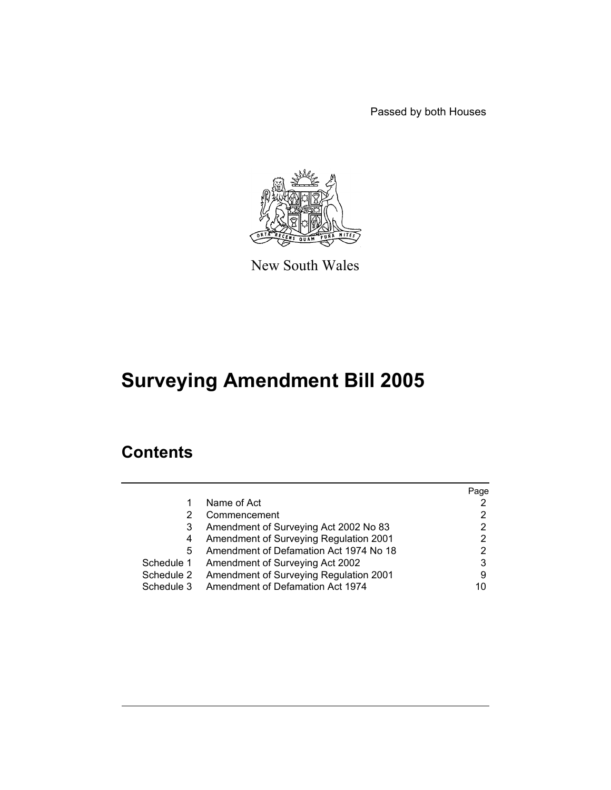Passed by both Houses



New South Wales

# **Surveying Amendment Bill 2005**

# **Contents**

|            |                                        | Page |
|------------|----------------------------------------|------|
|            | Name of Act                            |      |
|            | Commencement                           | 2    |
| 3          | Amendment of Surveying Act 2002 No 83  |      |
| 4          | Amendment of Surveying Regulation 2001 |      |
| 5          | Amendment of Defamation Act 1974 No 18 | 2    |
| Schedule 1 | Amendment of Surveying Act 2002        | 3    |
| Schedule 2 | Amendment of Surveying Regulation 2001 | 9    |
| Schedule 3 | Amendment of Defamation Act 1974       | 10   |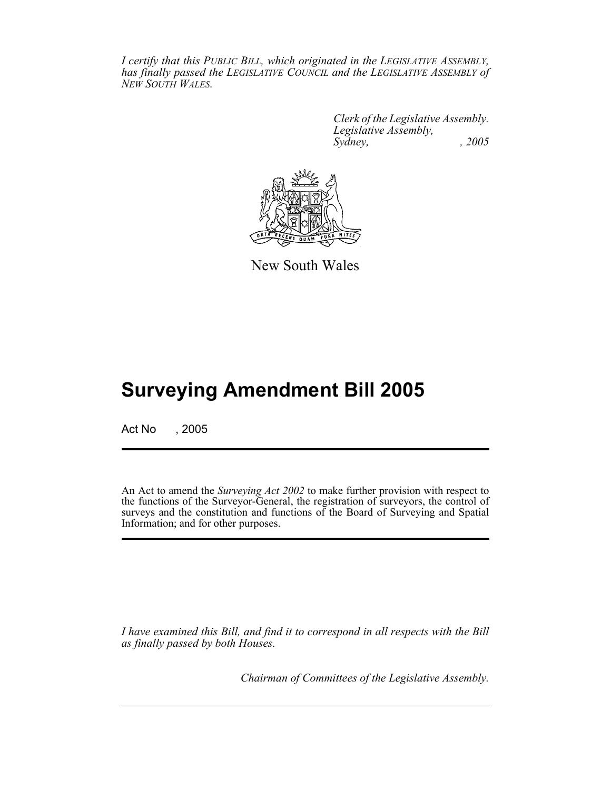*I certify that this PUBLIC BILL, which originated in the LEGISLATIVE ASSEMBLY, has finally passed the LEGISLATIVE COUNCIL and the LEGISLATIVE ASSEMBLY of NEW SOUTH WALES.*

> *Clerk of the Legislative Assembly. Legislative Assembly, Sydney, , 2005*



New South Wales

# **Surveying Amendment Bill 2005**

Act No , 2005

An Act to amend the *Surveying Act 2002* to make further provision with respect to the functions of the Surveyor-General, the registration of surveyors, the control of surveys and the constitution and functions of the Board of Surveying and Spatial Information; and for other purposes.

*I have examined this Bill, and find it to correspond in all respects with the Bill as finally passed by both Houses.*

*Chairman of Committees of the Legislative Assembly.*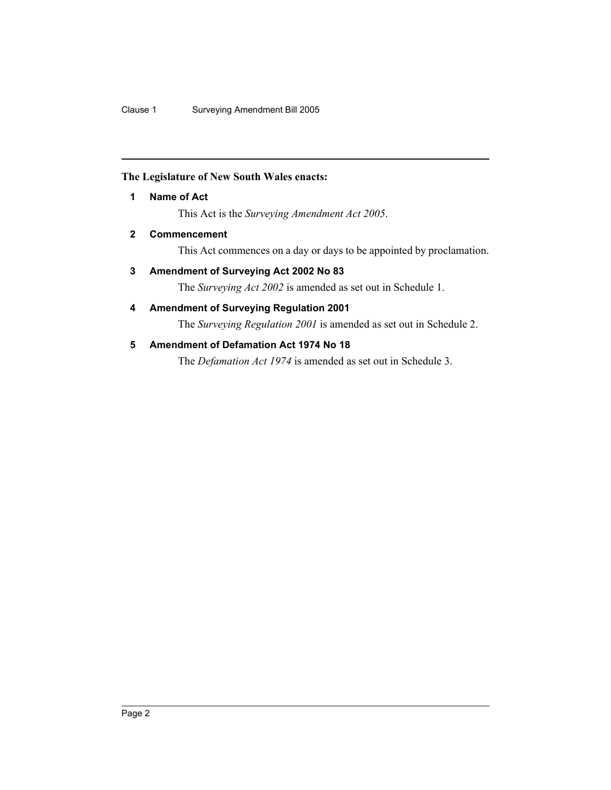# **The Legislature of New South Wales enacts:**

**1 Name of Act**

This Act is the *Surveying Amendment Act 2005*.

**2 Commencement**

This Act commences on a day or days to be appointed by proclamation.

# **3 Amendment of Surveying Act 2002 No 83**

The *Surveying Act 2002* is amended as set out in Schedule 1.

# **4 Amendment of Surveying Regulation 2001**

The *Surveying Regulation 2001* is amended as set out in Schedule 2.

# **5 Amendment of Defamation Act 1974 No 18**

The *Defamation Act 1974* is amended as set out in Schedule 3.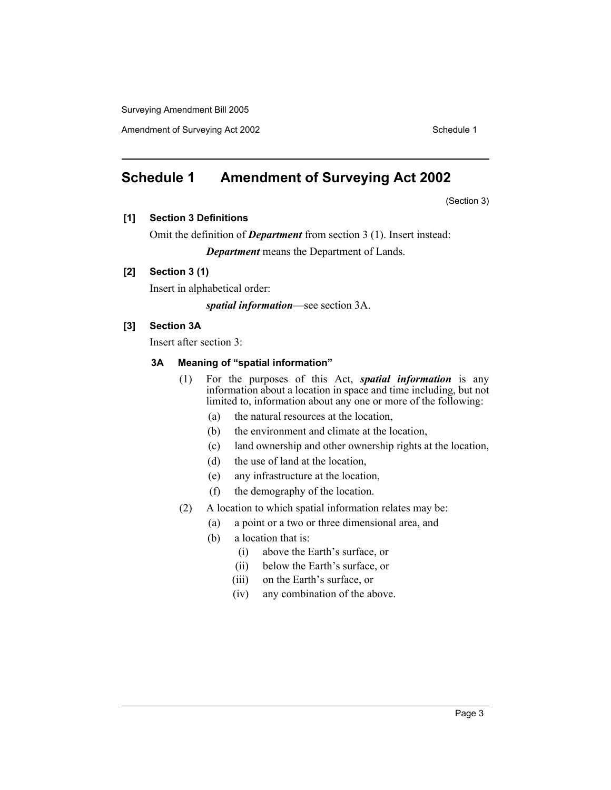Amendment of Surveying Act 2002 Schedule 1

# **Schedule 1 Amendment of Surveying Act 2002**

(Section 3)

#### **[1] Section 3 Definitions**

Omit the definition of *Department* from section 3 (1). Insert instead:

*Department* means the Department of Lands.

## **[2] Section 3 (1)**

Insert in alphabetical order:

*spatial information*—see section 3A.

## **[3] Section 3A**

Insert after section 3:

#### **3A Meaning of "spatial information"**

- (1) For the purposes of this Act, *spatial information* is any information about a location in space and time including, but not limited to, information about any one or more of the following:
	- (a) the natural resources at the location,
	- (b) the environment and climate at the location,
	- (c) land ownership and other ownership rights at the location,
	- (d) the use of land at the location,
	- (e) any infrastructure at the location,
	- (f) the demography of the location.
- (2) A location to which spatial information relates may be:
	- (a) a point or a two or three dimensional area, and
	- (b) a location that is:
		- (i) above the Earth's surface, or
		- (ii) below the Earth's surface, or
		- (iii) on the Earth's surface, or
		- (iv) any combination of the above.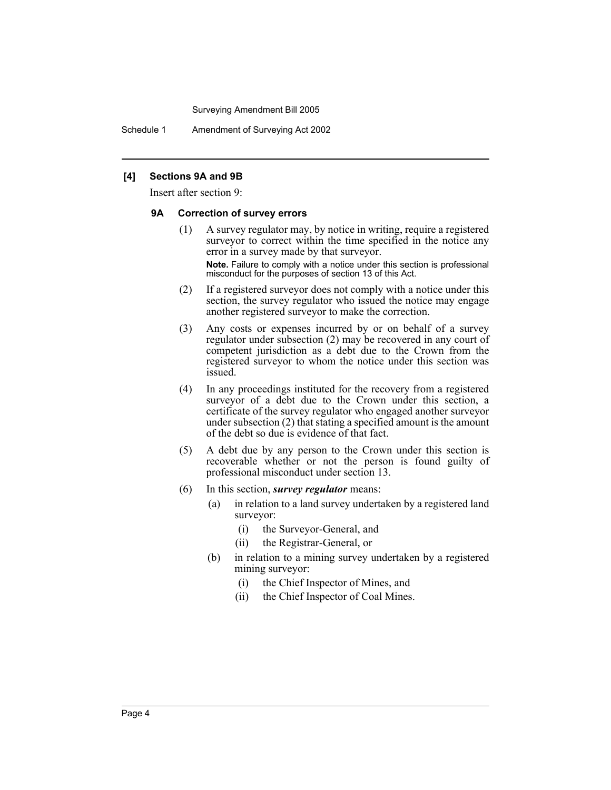Schedule 1 Amendment of Surveying Act 2002

#### **[4] Sections 9A and 9B**

Insert after section 9:

#### **9A Correction of survey errors**

- (1) A survey regulator may, by notice in writing, require a registered surveyor to correct within the time specified in the notice any error in a survey made by that surveyor. **Note.** Failure to comply with a notice under this section is professional misconduct for the purposes of section 13 of this Act.
- (2) If a registered surveyor does not comply with a notice under this section, the survey regulator who issued the notice may engage another registered surveyor to make the correction.
- (3) Any costs or expenses incurred by or on behalf of a survey regulator under subsection (2) may be recovered in any court of competent jurisdiction as a debt due to the Crown from the registered surveyor to whom the notice under this section was issued.
- (4) In any proceedings instituted for the recovery from a registered surveyor of a debt due to the Crown under this section, a certificate of the survey regulator who engaged another surveyor under subsection (2) that stating a specified amount is the amount of the debt so due is evidence of that fact.
- (5) A debt due by any person to the Crown under this section is recoverable whether or not the person is found guilty of professional misconduct under section 13.
- (6) In this section, *survey regulator* means:
	- (a) in relation to a land survey undertaken by a registered land surveyor:
		- (i) the Surveyor-General, and
		- (ii) the Registrar-General, or
	- (b) in relation to a mining survey undertaken by a registered mining surveyor:
		- (i) the Chief Inspector of Mines, and
		- (ii) the Chief Inspector of Coal Mines.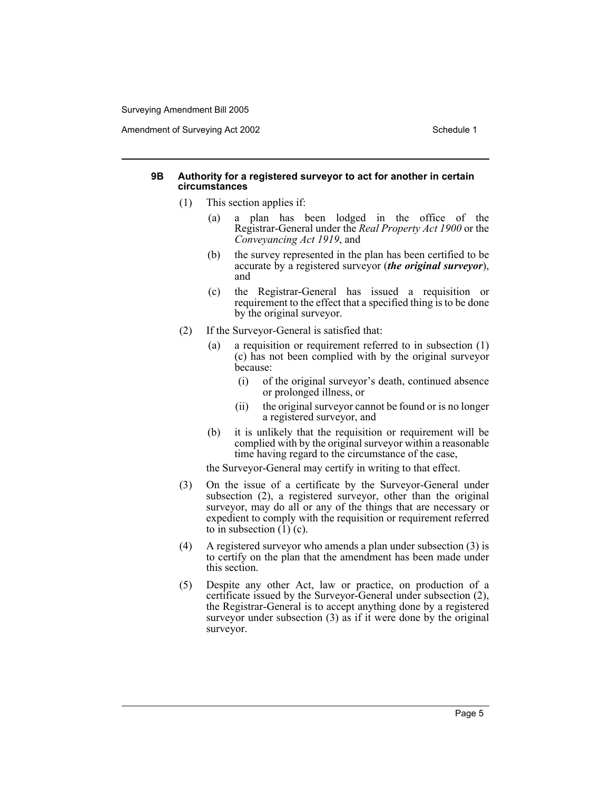Amendment of Surveying Act 2002 Schedule 1

#### **9B Authority for a registered surveyor to act for another in certain circumstances**

- (1) This section applies if:
	- (a) a plan has been lodged in the office of the Registrar-General under the *Real Property Act 1900* or the *Conveyancing Act 1919*, and
	- (b) the survey represented in the plan has been certified to be accurate by a registered surveyor (*the original surveyor*), and
	- (c) the Registrar-General has issued a requisition or requirement to the effect that a specified thing is to be done by the original surveyor.
- (2) If the Surveyor-General is satisfied that:
	- (a) a requisition or requirement referred to in subsection (1) (c) has not been complied with by the original surveyor because:
		- (i) of the original surveyor's death, continued absence or prolonged illness, or
		- (ii) the original surveyor cannot be found or is no longer a registered surveyor, and
	- (b) it is unlikely that the requisition or requirement will be complied with by the original surveyor within a reasonable time having regard to the circumstance of the case,

the Surveyor-General may certify in writing to that effect.

- (3) On the issue of a certificate by the Surveyor-General under subsection (2), a registered surveyor, other than the original surveyor, may do all or any of the things that are necessary or expedient to comply with the requisition or requirement referred to in subsection  $(1)$  (c).
- (4) A registered surveyor who amends a plan under subsection (3) is to certify on the plan that the amendment has been made under this section.
- (5) Despite any other Act, law or practice, on production of a certificate issued by the Surveyor-General under subsection (2), the Registrar-General is to accept anything done by a registered surveyor under subsection (3) as if it were done by the original surveyor.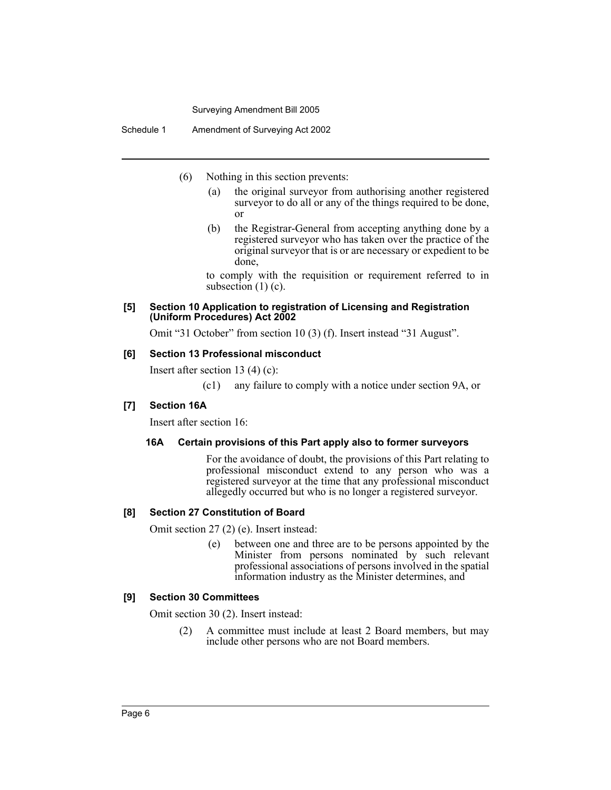Schedule 1 Amendment of Surveying Act 2002

- (6) Nothing in this section prevents:
	- (a) the original surveyor from authorising another registered surveyor to do all or any of the things required to be done, or
	- (b) the Registrar-General from accepting anything done by a registered surveyor who has taken over the practice of the original surveyor that is or are necessary or expedient to be done,

to comply with the requisition or requirement referred to in subsection  $(1)$   $(c)$ .

#### **[5] Section 10 Application to registration of Licensing and Registration (Uniform Procedures) Act 2002**

Omit "31 October" from section 10 (3) (f). Insert instead "31 August".

## **[6] Section 13 Professional misconduct**

Insert after section 13 (4) (c):

(c1) any failure to comply with a notice under section 9A, or

#### **[7] Section 16A**

Insert after section 16:

#### **16A Certain provisions of this Part apply also to former surveyors**

For the avoidance of doubt, the provisions of this Part relating to professional misconduct extend to any person who was a registered surveyor at the time that any professional misconduct allegedly occurred but who is no longer a registered surveyor.

# **[8] Section 27 Constitution of Board**

Omit section 27 (2) (e). Insert instead:

(e) between one and three are to be persons appointed by the Minister from persons nominated by such relevant professional associations of persons involved in the spatial information industry as the Minister determines, and

#### **[9] Section 30 Committees**

Omit section 30 (2). Insert instead:

(2) A committee must include at least 2 Board members, but may include other persons who are not Board members.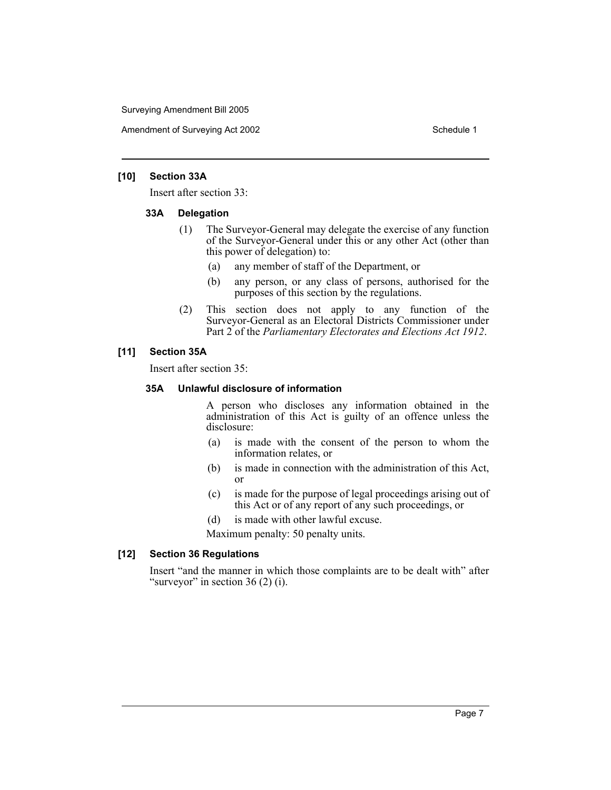Amendment of Surveying Act 2002 Schedule 1

#### **[10] Section 33A**

Insert after section 33:

#### **33A Delegation**

- (1) The Surveyor-General may delegate the exercise of any function of the Surveyor-General under this or any other Act (other than this power of delegation) to:
	- (a) any member of staff of the Department, or
	- (b) any person, or any class of persons, authorised for the purposes of this section by the regulations.
- (2) This section does not apply to any function of the Surveyor-General as an Electoral Districts Commissioner under Part 2 of the *Parliamentary Electorates and Elections Act 1912*.

#### **[11] Section 35A**

Insert after section 35:

#### **35A Unlawful disclosure of information**

A person who discloses any information obtained in the administration of this Act is guilty of an offence unless the disclosure:

- (a) is made with the consent of the person to whom the information relates, or
- (b) is made in connection with the administration of this Act, or
- (c) is made for the purpose of legal proceedings arising out of this Act or of any report of any such proceedings, or
- (d) is made with other lawful excuse.

Maximum penalty: 50 penalty units.

# **[12] Section 36 Regulations**

Insert "and the manner in which those complaints are to be dealt with" after "surveyor" in section  $36(2)$  (i).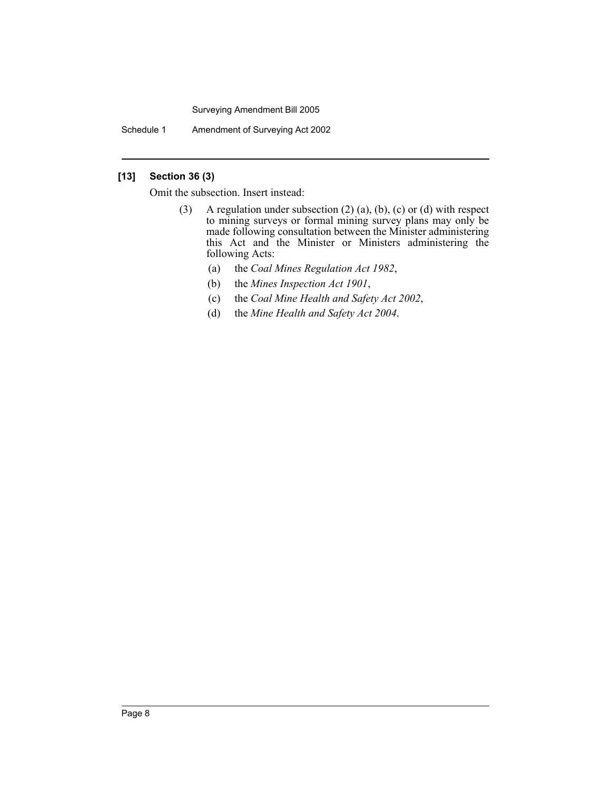Schedule 1 Amendment of Surveying Act 2002

### **[13] Section 36 (3)**

Omit the subsection. Insert instead:

- (3) A regulation under subsection (2) (a), (b), (c) or (d) with respect to mining surveys or formal mining survey plans may only be made following consultation between the Minister administering this Act and the Minister or Ministers administering the following Acts:
	- (a) the *Coal Mines Regulation Act 1982*,
	- (b) the *Mines Inspection Act 1901*,
	- (c) the *Coal Mine Health and Safety Act 2002*,
	- (d) the *Mine Health and Safety Act 2004*.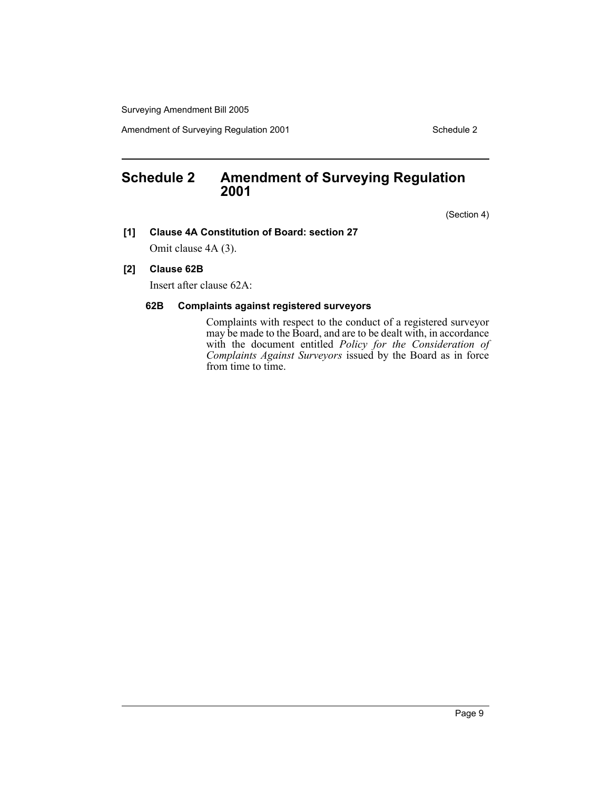Amendment of Surveying Regulation 2001 Schedule 2

# **Schedule 2 Amendment of Surveying Regulation 2001**

(Section 4)

#### **[1] Clause 4A Constitution of Board: section 27**

Omit clause 4A (3).

## **[2] Clause 62B**

Insert after clause 62A:

#### **62B Complaints against registered surveyors**

Complaints with respect to the conduct of a registered surveyor may be made to the Board, and are to be dealt with, in accordance with the document entitled *Policy for the Consideration of Complaints Against Surveyors* issued by the Board as in force from time to time.